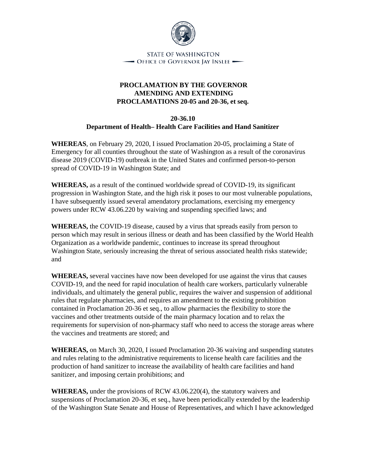

STATE OF WASHINGTON - Office of Governor Jay Inslee -

## **PROCLAMATION BY THE GOVERNOR AMENDING AND EXTENDING PROCLAMATIONS 20-05 and 20-36, et seq.**

## **20-36.10 Department of Health– Health Care Facilities and Hand Sanitizer**

**WHEREAS**, on February 29, 2020, I issued Proclamation 20-05, proclaiming a State of Emergency for all counties throughout the state of Washington as a result of the coronavirus disease 2019 (COVID-19) outbreak in the United States and confirmed person-to-person spread of COVID-19 in Washington State; and

**WHEREAS,** as a result of the continued worldwide spread of COVID-19, its significant progression in Washington State, and the high risk it poses to our most vulnerable populations, I have subsequently issued several amendatory proclamations, exercising my emergency powers under RCW 43.06.220 by waiving and suspending specified laws; and

**WHEREAS,** the COVID-19 disease, caused by a virus that spreads easily from person to person which may result in serious illness or death and has been classified by the World Health Organization as a worldwide pandemic, continues to increase its spread throughout Washington State, seriously increasing the threat of serious associated health risks statewide; and

**WHEREAS,** several vaccines have now been developed for use against the virus that causes COVID-19, and the need for rapid inoculation of health care workers, particularly vulnerable individuals, and ultimately the general public, requires the waiver and suspension of additional rules that regulate pharmacies, and requires an amendment to the existing prohibition contained in Proclamation 20-36 et seq., to allow pharmacies the flexibility to store the vaccines and other treatments outside of the main pharmacy location and to relax the requirements for supervision of non-pharmacy staff who need to access the storage areas where the vaccines and treatments are stored; and

**WHEREAS,** on March 30, 2020, I issued Proclamation 20-36 waiving and suspending statutes and rules relating to the administrative requirements to license health care facilities and the production of hand sanitizer to increase the availability of health care facilities and hand sanitizer, and imposing certain prohibitions; and

**WHEREAS,** under the provisions of RCW 43.06.220(4), the statutory waivers and suspensions of Proclamation 20-36, et seq., have been periodically extended by the leadership of the Washington State Senate and House of Representatives, and which I have acknowledged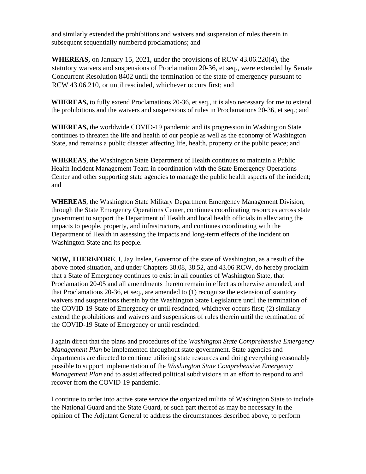and similarly extended the prohibitions and waivers and suspension of rules therein in subsequent sequentially numbered proclamations; and

**WHEREAS,** on January 15, 2021, under the provisions of RCW 43.06.220(4), the statutory waivers and suspensions of Proclamation 20-36, et seq., were extended by Senate Concurrent Resolution 8402 until the termination of the state of emergency pursuant to RCW 43.06.210, or until rescinded, whichever occurs first; and

**WHEREAS,** to fully extend Proclamations 20-36, et seq., it is also necessary for me to extend the prohibitions and the waivers and suspensions of rules in Proclamations 20-36, et seq.; and

**WHEREAS,** the worldwide COVID-19 pandemic and its progression in Washington State continues to threaten the life and health of our people as well as the economy of Washington State, and remains a public disaster affecting life, health, property or the public peace; and

**WHEREAS**, the Washington State Department of Health continues to maintain a Public Health Incident Management Team in coordination with the State Emergency Operations Center and other supporting state agencies to manage the public health aspects of the incident; and

**WHEREAS**, the Washington State Military Department Emergency Management Division, through the State Emergency Operations Center, continues coordinating resources across state government to support the Department of Health and local health officials in alleviating the impacts to people, property, and infrastructure, and continues coordinating with the Department of Health in assessing the impacts and long-term effects of the incident on Washington State and its people.

**NOW, THEREFORE**, I, Jay Inslee, Governor of the state of Washington, as a result of the above-noted situation, and under Chapters 38.08, 38.52, and 43.06 RCW, do hereby proclaim that a State of Emergency continues to exist in all counties of Washington State, that Proclamation 20-05 and all amendments thereto remain in effect as otherwise amended, and that Proclamations 20-36, et seq., are amended to (1) recognize the extension of statutory waivers and suspensions therein by the Washington State Legislature until the termination of the COVID-19 State of Emergency or until rescinded, whichever occurs first; (2) similarly extend the prohibitions and waivers and suspensions of rules therein until the termination of the COVID-19 State of Emergency or until rescinded.

I again direct that the plans and procedures of the *Washington State Comprehensive Emergency Management Plan* be implemented throughout state government. State agencies and departments are directed to continue utilizing state resources and doing everything reasonably possible to support implementation of the *Washington State Comprehensive Emergency Management Plan* and to assist affected political subdivisions in an effort to respond to and recover from the COVID-19 pandemic.

I continue to order into active state service the organized militia of Washington State to include the National Guard and the State Guard, or such part thereof as may be necessary in the opinion of The Adjutant General to address the circumstances described above, to perform